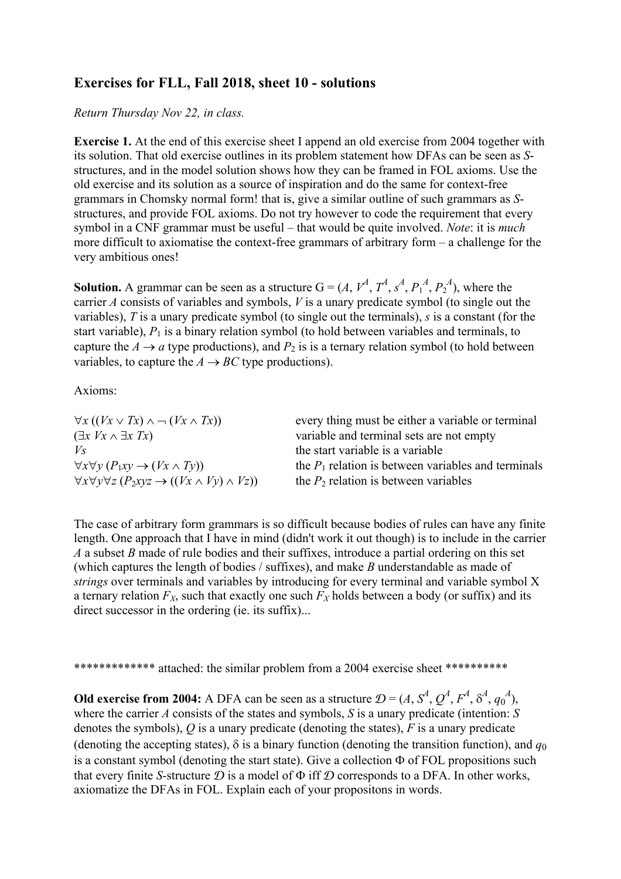## **Exercises for FLL, Fall 2018, sheet 10 - solutions**

*Return Thursday Nov 22, in class.* 

**Exercise 1.** At the end of this exercise sheet I append an old exercise from 2004 together with its solution. That old exercise outlines in its problem statement how DFAs can be seen as *S*structures, and in the model solution shows how they can be framed in FOL axioms. Use the old exercise and its solution as a source of inspiration and do the same for context-free grammars in Chomsky normal form! that is, give a similar outline of such grammars as *S*structures, and provide FOL axioms. Do not try however to code the requirement that every symbol in a CNF grammar must be useful – that would be quite involved. *Note*: it is *much* more difficult to axiomatise the context-free grammars of arbitrary form – a challenge for the very ambitious ones!

**Solution.** A grammar can be seen as a structure  $G = (A, V^A, T^A, s^A, P_1^A, P_2^A)$ , where the carrier *A* consists of variables and symbols, *V* is a unary predicate symbol (to single out the variables), *T* is a unary predicate symbol (to single out the terminals), *s* is a constant (for the start variable),  $P_1$  is a binary relation symbol (to hold between variables and terminals, to capture the  $A \rightarrow a$  type productions), and  $P_2$  is is a ternary relation symbol (to hold between variables, to capture the  $A \rightarrow BC$  type productions).

Axioms:

| $\forall x ((Vx \vee Tx) \wedge \neg (Vx \wedge Tx))$                         | every thing must be either a variable or terminal     |
|-------------------------------------------------------------------------------|-------------------------------------------------------|
| $(\exists x \, Vx \land \exists x \, Tx)$                                     | variable and terminal sets are not empty              |
| V <sub>S</sub>                                                                | the start variable is a variable                      |
| $\forall x \forall y (P_1xy \rightarrow (Vx \wedge Ty))$                      | the $P_1$ relation is between variables and terminals |
| $\forall x \forall y \forall z (P_2xyz \rightarrow ((Vx \land Vy) \land Vz))$ | the $P_2$ relation is between variables               |

The case of arbitrary form grammars is so difficult because bodies of rules can have any finite length. One approach that I have in mind (didn't work it out though) is to include in the carrier *A* a subset *B* made of rule bodies and their suffixes, introduce a partial ordering on this set (which captures the length of bodies / suffixes), and make *B* understandable as made of *strings* over terminals and variables by introducing for every terminal and variable symbol X a ternary relation  $F_X$ , such that exactly one such  $F_X$  holds between a body (or suffix) and its direct successor in the ordering (ie. its suffix)...

\*\*\*\*\*\*\*\*\*\*\*\*\*\* attached: the similar problem from a 2004 exercise sheet \*\*\*\*\*\*\*\*\*\*

**Old exercise from 2004:** A DFA can be seen as a structure  $\mathcal{D} = (A, S^4, Q^A, F^A, \delta^A, q_0^A)$ , where the carrier *A* consists of the states and symbols, *S* is a unary predicate (intention: *S* denotes the symbols), *Q* is a unary predicate (denoting the states), *F* is a unary predicate (denoting the accepting states),  $\delta$  is a binary function (denoting the transition function), and  $q_0$ is a constant symbol (denoting the start state). Give a collection  $\Phi$  of FOL propositions such that every finite *S*-structure  $D$  is a model of  $\Phi$  iff  $D$  corresponds to a DFA. In other works, axiomatize the DFAs in FOL. Explain each of your propositons in words.